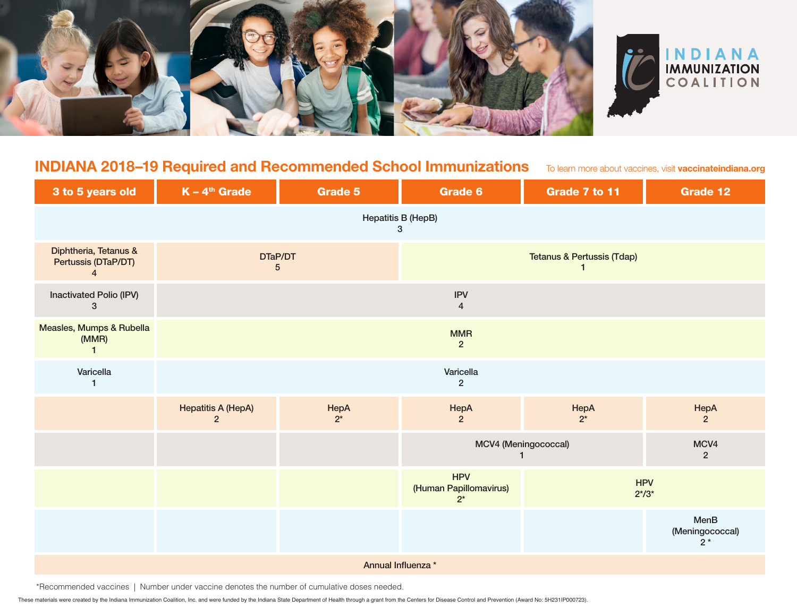



## **INDIANA 2018–19 Required and Recommended School Immunizations**

To learn more about vaccines, visit **vaccinateindiana.org**

| 3 to 5 years old                                               | $K - 4th$ Grade                             | <b>Grade 5</b> | <b>Grade 6</b>                                | Grade 7 to 11            | <b>Grade 12</b>                 |  |  |
|----------------------------------------------------------------|---------------------------------------------|----------------|-----------------------------------------------|--------------------------|---------------------------------|--|--|
| Hepatitis B (HepB)<br>3                                        |                                             |                |                                               |                          |                                 |  |  |
| Diphtheria, Tetanus &<br>Pertussis (DTaP/DT)<br>$\overline{4}$ | DTaP/DT<br>5                                |                | <b>Tetanus &amp; Pertussis (Tdap)</b><br>1    |                          |                                 |  |  |
| Inactivated Polio (IPV)<br>$\mathbf{3}$                        |                                             |                | <b>IPV</b><br>$\overline{4}$                  |                          |                                 |  |  |
| Measles, Mumps & Rubella<br>(MMR)<br>$\mathbf{1}$              |                                             |                | <b>MMR</b><br>$\overline{2}$                  |                          |                                 |  |  |
| Varicella<br>$\mathbf{1}$                                      |                                             |                | Varicella<br>$\overline{2}$                   |                          |                                 |  |  |
|                                                                | <b>Hepatitis A (HepA)</b><br>$\overline{2}$ | HepA<br>$2^*$  | HepA<br>$\overline{2}$                        | HepA<br>$2^*$            | HepA<br>$\overline{2}$          |  |  |
|                                                                |                                             |                | MCV4 (Meningococcal)<br>$\mathbf{1}$          |                          | MCV4<br>$\overline{2}$          |  |  |
|                                                                |                                             |                | <b>HPV</b><br>(Human Papillomavirus)<br>$2^*$ | <b>HPV</b><br>$2^{*/3*}$ |                                 |  |  |
|                                                                |                                             |                |                                               |                          | MenB<br>(Meningococcal)<br>$2*$ |  |  |
| Annual Influenza *                                             |                                             |                |                                               |                          |                                 |  |  |

\*Recommended vaccines | Number under vaccine denotes the number of cumulative doses needed.

These materials were created by the Indiana Immunization Coalition, Inc. and were funded by the Indiana State Department of Health through a grant from the Centers for Disease Control and Prevention (Award No: 5H231IP00072